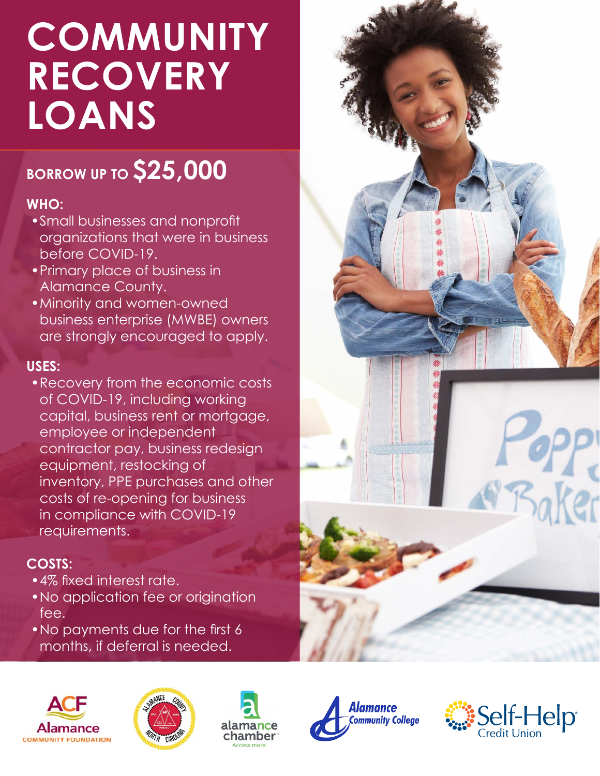# **COMMUNITY RECOVERY LOANS**

## **BORROW UP TO \$25,000**

#### **WHO:**

- • Small businesses and nonprofit organizations that were in business before COVID-19.
- • Primary place of business in Alamance County.
- • Minority and women-owned business enterprise (MWBE) owners are strongly encouraged to apply.

#### **USES:**

• Recovery from the economic costs of COVID-19, including working capital, business rent or mortgage, employee or independent contractor pay, business redesign equipment, restocking of inventory, PPE purchases and other costs of re-opening for business in compliance with COVID-19 requirements.

### **COSTS:**

- 4% fixed interest rate.
- • No application fee or origination fee.
- No payments due for the first 6 months, if deferral is needed.